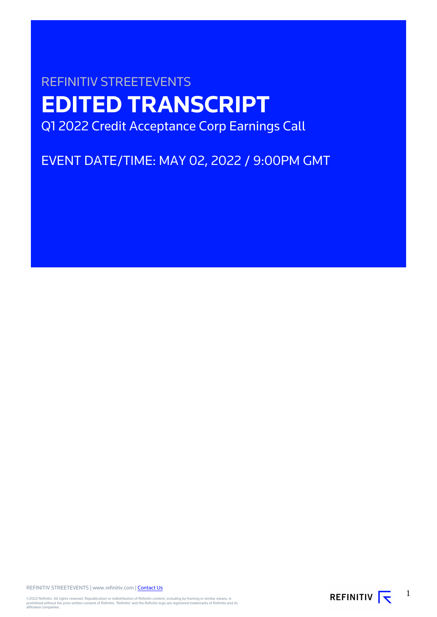# REFINITIV STREETEVENTS **EDITED TRANSCRIPT** Q1 2022 Credit Acceptance Corp Earnings Call

EVENT DATE/TIME: MAY 02, 2022 / 9:00PM GMT

REFINITIV STREETEVENTS | www.refinitiv.com | [Contact Us](https://www.refinitiv.com/en/contact-us)

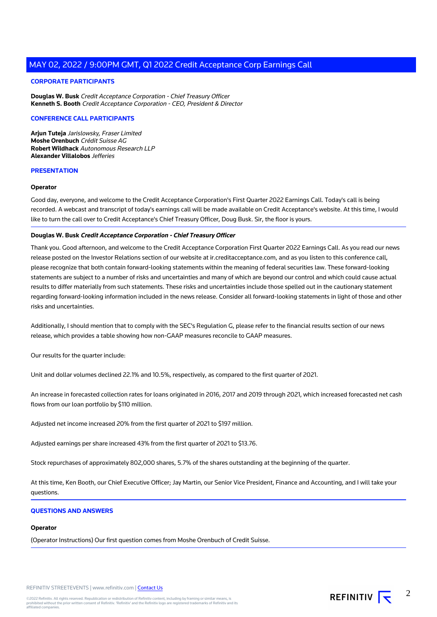#### **CORPORATE PARTICIPANTS**

**Douglas W. Busk** Credit Acceptance Corporation - Chief Treasury Officer **Kenneth S. Booth** Credit Acceptance Corporation - CEO, President & Director

#### **CONFERENCE CALL PARTICIPANTS**

**Arjun Tuteja** Jarislowsky, Fraser Limited **Moshe Orenbuch** Crédit Suisse AG **Robert Wildhack** Autonomous Research LLP **Alexander Villalobos** Jefferies

#### **PRESENTATION**

#### **Operator**

Good day, everyone, and welcome to the Credit Acceptance Corporation's First Quarter 2022 Earnings Call. Today's call is being recorded. A webcast and transcript of today's earnings call will be made available on Credit Acceptance's website. At this time, I would like to turn the call over to Credit Acceptance's Chief Treasury Officer, Doug Busk. Sir, the floor is yours.

#### **Douglas W. Busk Credit Acceptance Corporation - Chief Treasury Officer**

Thank you. Good afternoon, and welcome to the Credit Acceptance Corporation First Quarter 2022 Earnings Call. As you read our news release posted on the Investor Relations section of our website at ir.creditacceptance.com, and as you listen to this conference call, please recognize that both contain forward-looking statements within the meaning of federal securities law. These forward-looking statements are subject to a number of risks and uncertainties and many of which are beyond our control and which could cause actual results to differ materially from such statements. These risks and uncertainties include those spelled out in the cautionary statement regarding forward-looking information included in the news release. Consider all forward-looking statements in light of those and other risks and uncertainties.

Additionally, I should mention that to comply with the SEC's Regulation G, please refer to the financial results section of our news release, which provides a table showing how non-GAAP measures reconcile to GAAP measures.

Our results for the quarter include:

Unit and dollar volumes declined 22.1% and 10.5%, respectively, as compared to the first quarter of 2021.

An increase in forecasted collection rates for loans originated in 2016, 2017 and 2019 through 2021, which increased forecasted net cash flows from our loan portfolio by \$110 million.

Adjusted net income increased 20% from the first quarter of 2021 to \$197 million.

Adjusted earnings per share increased 43% from the first quarter of 2021 to \$13.76.

Stock repurchases of approximately 802,000 shares, 5.7% of the shares outstanding at the beginning of the quarter.

At this time, Ken Booth, our Chief Executive Officer; Jay Martin, our Senior Vice President, Finance and Accounting, and I will take your questions.

#### **QUESTIONS AND ANSWERS**

#### **Operator**

(Operator Instructions) Our first question comes from Moshe Orenbuch of Credit Suisse.

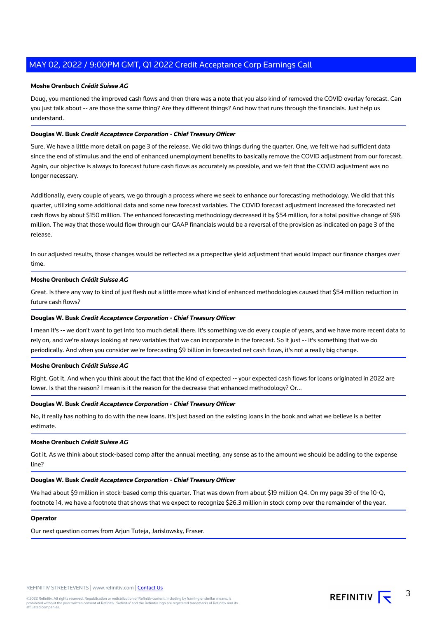#### **Moshe Orenbuch Crédit Suisse AG**

Doug, you mentioned the improved cash flows and then there was a note that you also kind of removed the COVID overlay forecast. Can you just talk about -- are those the same thing? Are they different things? And how that runs through the financials. Just help us understand.

#### **Douglas W. Busk Credit Acceptance Corporation - Chief Treasury Officer**

Sure. We have a little more detail on page 3 of the release. We did two things during the quarter. One, we felt we had sufficient data since the end of stimulus and the end of enhanced unemployment benefits to basically remove the COVID adjustment from our forecast. Again, our objective is always to forecast future cash flows as accurately as possible, and we felt that the COVID adjustment was no longer necessary.

Additionally, every couple of years, we go through a process where we seek to enhance our forecasting methodology. We did that this quarter, utilizing some additional data and some new forecast variables. The COVID forecast adjustment increased the forecasted net cash flows by about \$150 million. The enhanced forecasting methodology decreased it by \$54 million, for a total positive change of \$96 million. The way that those would flow through our GAAP financials would be a reversal of the provision as indicated on page 3 of the release.

In our adjusted results, those changes would be reflected as a prospective yield adjustment that would impact our finance charges over time.

#### **Moshe Orenbuch Crédit Suisse AG**

Great. Is there any way to kind of just flesh out a little more what kind of enhanced methodologies caused that \$54 million reduction in future cash flows?

#### **Douglas W. Busk Credit Acceptance Corporation - Chief Treasury Officer**

I mean it's -- we don't want to get into too much detail there. It's something we do every couple of years, and we have more recent data to rely on, and we're always looking at new variables that we can incorporate in the forecast. So it just -- it's something that we do periodically. And when you consider we're forecasting \$9 billion in forecasted net cash flows, it's not a really big change.

#### **Moshe Orenbuch Crédit Suisse AG**

Right. Got it. And when you think about the fact that the kind of expected -- your expected cash flows for loans originated in 2022 are lower. Is that the reason? I mean is it the reason for the decrease that enhanced methodology? Or...

#### **Douglas W. Busk Credit Acceptance Corporation - Chief Treasury Officer**

No, it really has nothing to do with the new loans. It's just based on the existing loans in the book and what we believe is a better estimate.

#### **Moshe Orenbuch Crédit Suisse AG**

Got it. As we think about stock-based comp after the annual meeting, any sense as to the amount we should be adding to the expense line?

#### **Douglas W. Busk Credit Acceptance Corporation - Chief Treasury Officer**

We had about \$9 million in stock-based comp this quarter. That was down from about \$19 million Q4. On my page 39 of the 10-Q, footnote 14, we have a footnote that shows that we expect to recognize \$26.3 million in stock comp over the remainder of the year.

#### **Operator**

Our next question comes from Arjun Tuteja, Jarislowsky, Fraser.

3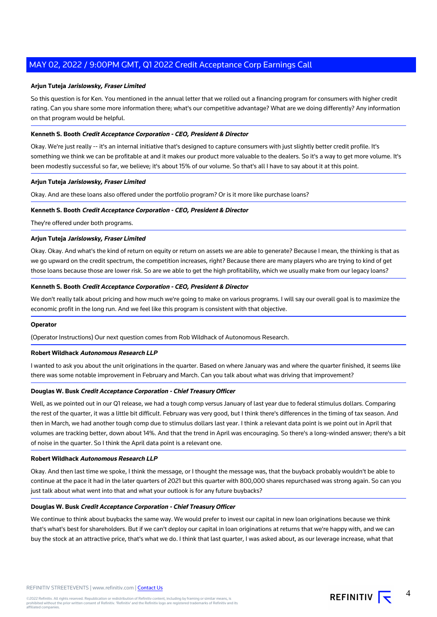#### **Arjun Tuteja Jarislowsky, Fraser Limited**

So this question is for Ken. You mentioned in the annual letter that we rolled out a financing program for consumers with higher credit rating. Can you share some more information there; what's our competitive advantage? What are we doing differently? Any information on that program would be helpful.

#### **Kenneth S. Booth Credit Acceptance Corporation - CEO, President & Director**

Okay. We're just really -- it's an internal initiative that's designed to capture consumers with just slightly better credit profile. It's something we think we can be profitable at and it makes our product more valuable to the dealers. So it's a way to get more volume. It's been modestly successful so far, we believe; it's about 15% of our volume. So that's all I have to say about it at this point.

#### **Arjun Tuteja Jarislowsky, Fraser Limited**

Okay. And are these loans also offered under the portfolio program? Or is it more like purchase loans?

#### **Kenneth S. Booth Credit Acceptance Corporation - CEO, President & Director**

They're offered under both programs.

#### **Arjun Tuteja Jarislowsky, Fraser Limited**

Okay. Okay. And what's the kind of return on equity or return on assets we are able to generate? Because I mean, the thinking is that as we go upward on the credit spectrum, the competition increases, right? Because there are many players who are trying to kind of get those loans because those are lower risk. So are we able to get the high profitability, which we usually make from our legacy loans?

#### **Kenneth S. Booth Credit Acceptance Corporation - CEO, President & Director**

We don't really talk about pricing and how much we're going to make on various programs. I will say our overall goal is to maximize the economic profit in the long run. And we feel like this program is consistent with that objective.

#### **Operator**

(Operator Instructions) Our next question comes from Rob Wildhack of Autonomous Research.

#### **Robert Wildhack Autonomous Research LLP**

I wanted to ask you about the unit originations in the quarter. Based on where January was and where the quarter finished, it seems like there was some notable improvement in February and March. Can you talk about what was driving that improvement?

### **Douglas W. Busk Credit Acceptance Corporation - Chief Treasury Officer**

Well, as we pointed out in our Q1 release, we had a tough comp versus January of last year due to federal stimulus dollars. Comparing the rest of the quarter, it was a little bit difficult. February was very good, but I think there's differences in the timing of tax season. And then in March, we had another tough comp due to stimulus dollars last year. I think a relevant data point is we point out in April that volumes are tracking better, down about 14%. And that the trend in April was encouraging. So there's a long-winded answer; there's a bit of noise in the quarter. So I think the April data point is a relevant one.

#### **Robert Wildhack Autonomous Research LLP**

Okay. And then last time we spoke, I think the message, or I thought the message was, that the buyback probably wouldn't be able to continue at the pace it had in the later quarters of 2021 but this quarter with 800,000 shares repurchased was strong again. So can you just talk about what went into that and what your outlook is for any future buybacks?

#### **Douglas W. Busk Credit Acceptance Corporation - Chief Treasury Officer**

We continue to think about buybacks the same way. We would prefer to invest our capital in new loan originations because we think that's what's best for shareholders. But if we can't deploy our capital in loan originations at returns that we're happy with, and we can buy the stock at an attractive price, that's what we do. I think that last quarter, I was asked about, as our leverage increase, what that

4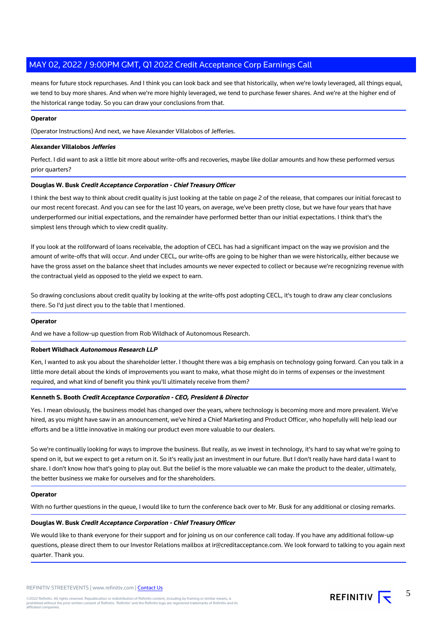means for future stock repurchases. And I think you can look back and see that historically, when we're lowly leveraged, all things equal, we tend to buy more shares. And when we're more highly leveraged, we tend to purchase fewer shares. And we're at the higher end of the historical range today. So you can draw your conclusions from that.

#### **Operator**

(Operator Instructions) And next, we have Alexander Villalobos of Jefferies.

#### **Alexander Villalobos Jefferies**

Perfect. I did want to ask a little bit more about write-offs and recoveries, maybe like dollar amounts and how these performed versus prior quarters?

#### **Douglas W. Busk Credit Acceptance Corporation - Chief Treasury Officer**

I think the best way to think about credit quality is just looking at the table on page 2 of the release, that compares our initial forecast to our most recent forecast. And you can see for the last 10 years, on average, we've been pretty close, but we have four years that have underperformed our initial expectations, and the remainder have performed better than our initial expectations. I think that's the simplest lens through which to view credit quality.

If you look at the rollforward of loans receivable, the adoption of CECL has had a significant impact on the way we provision and the amount of write-offs that will occur. And under CECL, our write-offs are going to be higher than we were historically, either because we have the gross asset on the balance sheet that includes amounts we never expected to collect or because we're recognizing revenue with the contractual yield as opposed to the yield we expect to earn.

So drawing conclusions about credit quality by looking at the write-offs post adopting CECL, it's tough to draw any clear conclusions there. So I'd just direct you to the table that I mentioned.

#### **Operator**

And we have a follow-up question from Rob Wildhack of Autonomous Research.

#### **Robert Wildhack Autonomous Research LLP**

Ken, I wanted to ask you about the shareholder letter. I thought there was a big emphasis on technology going forward. Can you talk in a little more detail about the kinds of improvements you want to make, what those might do in terms of expenses or the investment required, and what kind of benefit you think you'll ultimately receive from them?

#### **Kenneth S. Booth Credit Acceptance Corporation - CEO, President & Director**

Yes. I mean obviously, the business model has changed over the years, where technology is becoming more and more prevalent. We've hired, as you might have saw in an announcement, we've hired a Chief Marketing and Product Officer, who hopefully will help lead our efforts and be a little innovative in making our product even more valuable to our dealers.

So we're continually looking for ways to improve the business. But really, as we invest in technology, it's hard to say what we're going to spend on it, but we expect to get a return on it. So it's really just an investment in our future. But I don't really have hard data I want to share. I don't know how that's going to play out. But the belief is the more valuable we can make the product to the dealer, ultimately, the better business we make for ourselves and for the shareholders.

#### **Operator**

With no further questions in the queue, I would like to turn the conference back over to Mr. Busk for any additional or closing remarks.

#### **Douglas W. Busk Credit Acceptance Corporation - Chief Treasury Officer**

We would like to thank everyone for their support and for joining us on our conference call today. If you have any additional follow-up questions, please direct them to our Investor Relations mailbox at ir@creditacceptance.com. We look forward to talking to you again next quarter. Thank you.